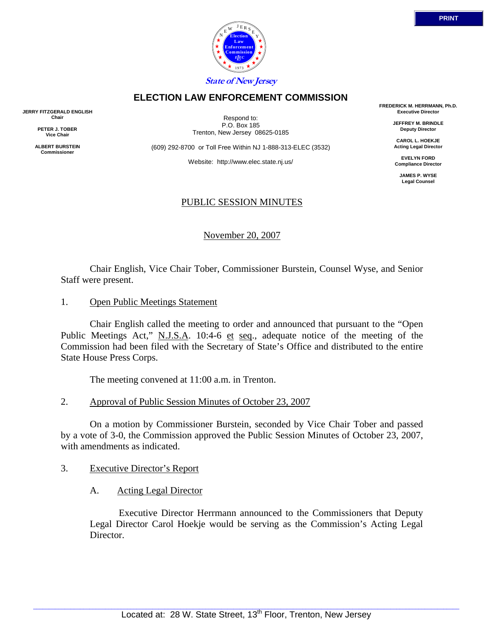

## 2. Approval of Public Session Minutes of October 23, 2007

 On a motion by Commissioner Burstein, seconded by Vice Chair Tober and passed by a vote of 3-0, the Commission approved the Public Session Minutes of October 23, 2007, with amendments as indicated.

## 3. Executive Director's Report

A. Acting Legal Director

 Executive Director Herrmann announced to the Commissioners that Deputy Legal Director Carol Hoekje would be serving as the Commission's Acting Legal Director.

State House Press Corps.

 Chair English called the meeting to order and announced that pursuant to the "Open Public Meetings Act," N.J.S.A. 10:4-6 et seq., adequate notice of the meeting of the Commission had been filed with the Secretary of State's Office and distributed to the entire

# 1. Open Public Meetings Statement

Chair English, Vice Chair Tober, Commissioner Burstein, Counsel Wyse, and Senior

# Staff were present.

**JERRY FITZGERALD ENGLISH Chair PETER J. TOBER Vice Chair ALBERT BURSTEIN Commissioner** 

November 20, 2007

PUBLIC SESSION MINUTES

(609) 292-8700 or Toll Free Within NJ 1-888-313-ELEC (3532)

**ELECTION LAW ENFORCEMENT COMMISSION**

Respond to: P.O. Box 185 Trenton, New Jersey 08625-0185

Website: http://www.elec.state.nj.us/

**FREDERICK M. HERRMANN, Ph.D. Executive Director** 

> **JEFFREY M. BRINDLE Deputy Director**

**CAROL L. HOEKJE Acting Legal Director** 

**EVELYN FORD Compliance Director** 

**JAMES P. WYSE Legal Counsel** 

**Election Law Enforcement Commission** *L E EC* 1973  $N \frac{E}{E}$  E R S Y E **State of New Jersey**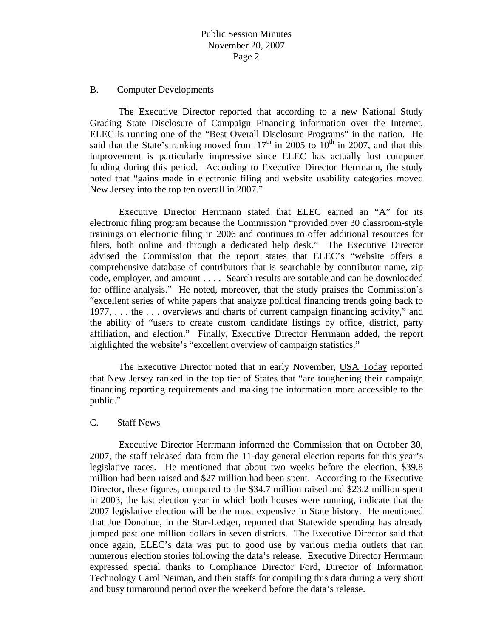#### B. Computer Developments

 The Executive Director reported that according to a new National Study Grading State Disclosure of Campaign Financing information over the Internet, ELEC is running one of the "Best Overall Disclosure Programs" in the nation. He said that the State's ranking moved from  $17<sup>th</sup>$  in 2005 to  $10<sup>th</sup>$  in 2007, and that this improvement is particularly impressive since ELEC has actually lost computer funding during this period. According to Executive Director Herrmann, the study noted that "gains made in electronic filing and website usability categories moved New Jersey into the top ten overall in 2007."

 Executive Director Herrmann stated that ELEC earned an "A" for its electronic filing program because the Commission "provided over 30 classroom-style trainings on electronic filing in 2006 and continues to offer additional resources for filers, both online and through a dedicated help desk." The Executive Director advised the Commission that the report states that ELEC's "website offers a comprehensive database of contributors that is searchable by contributor name, zip code, employer, and amount . . . . Search results are sortable and can be downloaded for offline analysis." He noted, moreover, that the study praises the Commission's "excellent series of white papers that analyze political financing trends going back to 1977, . . . the . . . overviews and charts of current campaign financing activity," and the ability of "users to create custom candidate listings by office, district, party affiliation, and election." Finally, Executive Director Herrmann added, the report highlighted the website's "excellent overview of campaign statistics."

 The Executive Director noted that in early November, USA Today reported that New Jersey ranked in the top tier of States that "are toughening their campaign financing reporting requirements and making the information more accessible to the public."

#### C. Staff News

 Executive Director Herrmann informed the Commission that on October 30, 2007, the staff released data from the 11-day general election reports for this year's legislative races. He mentioned that about two weeks before the election, \$39.8 million had been raised and \$27 million had been spent. According to the Executive Director, these figures, compared to the \$34.7 million raised and \$23.2 million spent in 2003, the last election year in which both houses were running, indicate that the 2007 legislative election will be the most expensive in State history. He mentioned that Joe Donohue, in the Star-Ledger, reported that Statewide spending has already jumped past one million dollars in seven districts. The Executive Director said that once again, ELEC's data was put to good use by various media outlets that ran numerous election stories following the data's release. Executive Director Herrmann expressed special thanks to Compliance Director Ford, Director of Information Technology Carol Neiman, and their staffs for compiling this data during a very short and busy turnaround period over the weekend before the data's release.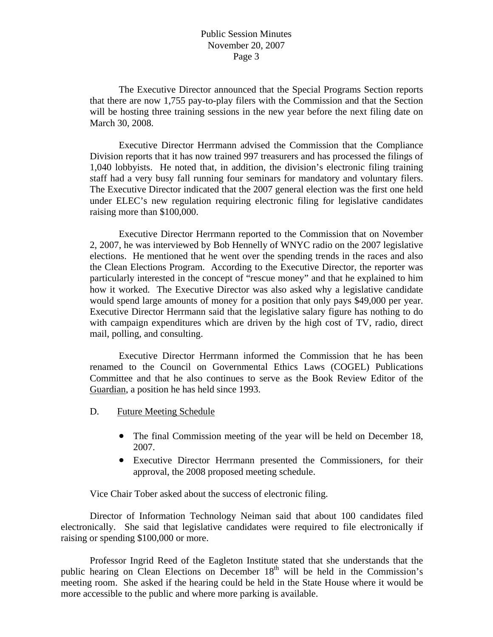The Executive Director announced that the Special Programs Section reports that there are now 1,755 pay-to-play filers with the Commission and that the Section will be hosting three training sessions in the new year before the next filing date on March 30, 2008.

 Executive Director Herrmann advised the Commission that the Compliance Division reports that it has now trained 997 treasurers and has processed the filings of 1,040 lobbyists. He noted that, in addition, the division's electronic filing training staff had a very busy fall running four seminars for mandatory and voluntary filers. The Executive Director indicated that the 2007 general election was the first one held under ELEC's new regulation requiring electronic filing for legislative candidates raising more than \$100,000.

 Executive Director Herrmann reported to the Commission that on November 2, 2007, he was interviewed by Bob Hennelly of WNYC radio on the 2007 legislative elections. He mentioned that he went over the spending trends in the races and also the Clean Elections Program. According to the Executive Director, the reporter was particularly interested in the concept of "rescue money" and that he explained to him how it worked. The Executive Director was also asked why a legislative candidate would spend large amounts of money for a position that only pays \$49,000 per year. Executive Director Herrmann said that the legislative salary figure has nothing to do with campaign expenditures which are driven by the high cost of TV, radio, direct mail, polling, and consulting.

 Executive Director Herrmann informed the Commission that he has been renamed to the Council on Governmental Ethics Laws (COGEL) Publications Committee and that he also continues to serve as the Book Review Editor of the Guardian, a position he has held since 1993.

- D. Future Meeting Schedule
	- The final Commission meeting of the year will be held on December 18, 2007.
	- Executive Director Herrmann presented the Commissioners, for their approval, the 2008 proposed meeting schedule.

Vice Chair Tober asked about the success of electronic filing.

 Director of Information Technology Neiman said that about 100 candidates filed electronically. She said that legislative candidates were required to file electronically if raising or spending \$100,000 or more.

 Professor Ingrid Reed of the Eagleton Institute stated that she understands that the public hearing on Clean Elections on December  $18<sup>th</sup>$  will be held in the Commission's meeting room. She asked if the hearing could be held in the State House where it would be more accessible to the public and where more parking is available.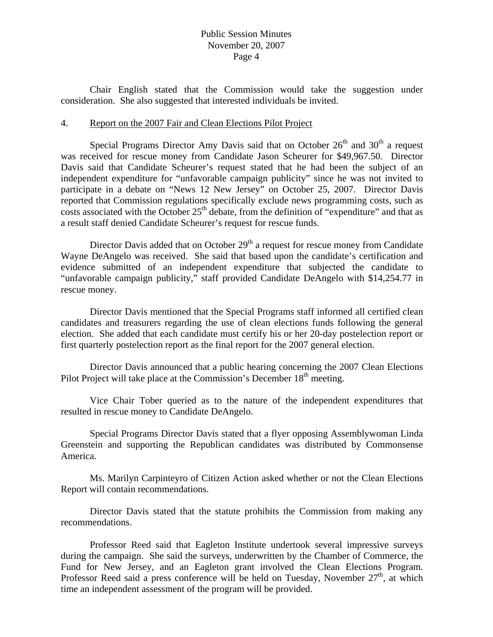#### Public Session Minutes November 20, 2007 Page 4

 Chair English stated that the Commission would take the suggestion under consideration. She also suggested that interested individuals be invited.

#### 4. Report on the 2007 Fair and Clean Elections Pilot Project

Special Programs Director Amy Davis said that on October  $26<sup>th</sup>$  and  $30<sup>th</sup>$  a request was received for rescue money from Candidate Jason Scheurer for \$49,967.50. Director Davis said that Candidate Scheurer's request stated that he had been the subject of an independent expenditure for "unfavorable campaign publicity" since he was not invited to participate in a debate on "News 12 New Jersey" on October 25, 2007. Director Davis reported that Commission regulations specifically exclude news programming costs, such as costs associated with the October  $25<sup>th</sup>$  debate, from the definition of "expenditure" and that as a result staff denied Candidate Scheurer's request for rescue funds.

Director Davis added that on October  $29<sup>th</sup>$  a request for rescue money from Candidate Wayne DeAngelo was received. She said that based upon the candidate's certification and evidence submitted of an independent expenditure that subjected the candidate to "unfavorable campaign publicity," staff provided Candidate DeAngelo with \$14,254.77 in rescue money.

 Director Davis mentioned that the Special Programs staff informed all certified clean candidates and treasurers regarding the use of clean elections funds following the general election. She added that each candidate must certify his or her 20-day postelection report or first quarterly postelection report as the final report for the 2007 general election.

 Director Davis announced that a public hearing concerning the 2007 Clean Elections Pilot Project will take place at the Commission's December 18<sup>th</sup> meeting.

 Vice Chair Tober queried as to the nature of the independent expenditures that resulted in rescue money to Candidate DeAngelo.

 Special Programs Director Davis stated that a flyer opposing Assemblywoman Linda Greenstein and supporting the Republican candidates was distributed by Commonsense America.

 Ms. Marilyn Carpinteyro of Citizen Action asked whether or not the Clean Elections Report will contain recommendations.

 Director Davis stated that the statute prohibits the Commission from making any recommendations.

 Professor Reed said that Eagleton Institute undertook several impressive surveys during the campaign. She said the surveys, underwritten by the Chamber of Commerce, the Fund for New Jersey, and an Eagleton grant involved the Clean Elections Program. Professor Reed said a press conference will be held on Tuesday, November  $27<sup>th</sup>$ , at which time an independent assessment of the program will be provided.